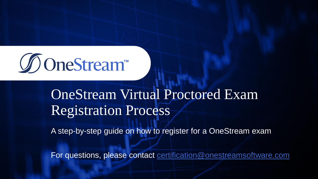

### **One** an ghorach a p OneStream Virtual Proctored Exam Registration Process

A step-by-step guide on how to register for a OneStream exam

For questions, please contact [certification@onestreamsoftware.com](mailto:certification@onestreamsoftware.com)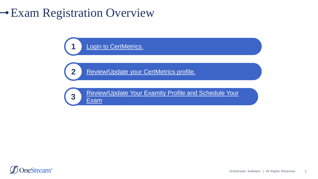# Exam Registration Overview

**[Login to CertMetrics.](#page-2-0)** 

**2** [Review/Update your CertMetrics profile.](#page-3-0)



[Review/Update Your Examity](#page-9-0) Profile and Schedule Your

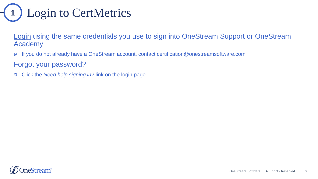<span id="page-2-0"></span>

[Login](https://www.certmetrics.com/onestreamsoftware/login.aspx?ReturnUrl=%2fonestreamsoftware%2f) using the same credentials you use to sign into OneStream Support or OneStream Academy

 $\varnothing$ If you do not already have a OneStream account, contact certification@onestreamsoftware.com

Forgot your password?

 $\varnothing$ Click the *Need help signing in?* link on the login page

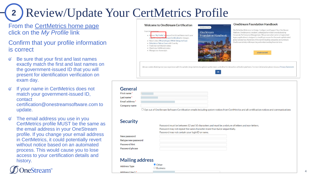### <span id="page-3-0"></span>Review/Update Your CertMetrics Profile **2**

#### From the [CertMetrics home page](https://www.certmetrics.com/onestreamsoftware/login.aspx?ReturnUrl=%2fonestreamsoftware%2f)  click on the *My Profile* link

#### Confirm that your profile information is correct

- Be sure that your first and last names exactly match the first and last names on the government-issued ID that you will present for identification verification on exam day.
- If your name in CertMetrics does not match your government-issued ID, contact certification@onestreamsoftware.com to update.
- The email address you use in you CertMetrics profile MUST be the same as the email address in your OneStream profile. If you change your email address in CertMetrics, it could potentially revert without notice based on an automated process. This would cause you to lose access to your certification details and history.

## neStream<sup>®</sup>

| From here you may:<br>Review "My Profile" to ensure First & Last Name match your<br>.egal ID, contact OneStream Certification for changes.<br>- Watch video: What to Expect While Taking the Exam | <b>OneStream</b><br><b>Foundation Handbook</b> | The Definitive Reference to Design, Configure and Support Your OneStream<br>Platform. OneStream is a modern, unified platform that is revolutionizing<br>Corporate Performance Management. This proven alternative to fragmented<br>legacy applications is designed to simplify processes for the most sophisticated,<br>global enterprises. Hundreds of the world's leading companies are turning to<br>OneStream to help with reporting and understanding financial data, |
|---------------------------------------------------------------------------------------------------------------------------------------------------------------------------------------------------|------------------------------------------------|-----------------------------------------------------------------------------------------------------------------------------------------------------------------------------------------------------------------------------------------------------------------------------------------------------------------------------------------------------------------------------------------------------------------------------------------------------------------------------|
| · Schedule or Take an Exam with Examity<br>· Track your certification status<br>- Check your fulfillment status<br>• Manage your transcripts                                                      |                                                | <b>LEARN MORE</b>                                                                                                                                                                                                                                                                                                                                                                                                                                                           |

#### General

| First name*     |                                                                                                             |
|-----------------|-------------------------------------------------------------------------------------------------------------|
| Last name *     |                                                                                                             |
| Email address * | <br>                                                                                                        |
| Company name    |                                                                                                             |
|                 | $Q_{n+1}$ and $Q_{n+1}Q_{n+2}$ and $Q_{n+1}Q_{n+1}$ and $Q_{n+1}Q_{n+1}Q_{n+1}$ and $Q_{n+1}Q_{n+1}Q_{n+1}$ |

 $\Box$  Opt out of OneStream Software Certification emails including system notices from CertMetrics and all certification notices and communications

#### **Security**

New password Retype new password **Password hint** Password phrase

**Address Ty** 

Address Lin

Password must be between 12 and 50 characters and must be a mixture of letters and non-letters. Password may not repeat the same character more than twice sequentially. Password may not contain your login ID or name.

#### **Mailing address**

| is auur coo |       |  |
|-------------|-------|--|
| рe          | Other |  |
| * 1 e       |       |  |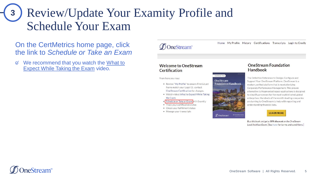## <span id="page-4-0"></span>Review/Update Your Examity Profile and Schedule Your Exam **3**

On the CertMetrics home page, click the link to *Schedule or Take an Exam*

 $\varnothing$ We recommend that you watch the What to Expect While Taking the Exam video.

### **DOneStream**"

Home My Profile History Certifications Transcripts Login to Credly

#### **Welcome to OneStream** Certification

From here you may:

Review "My Profile" to ensure First & Last Name match your Legal ID, contact OneStream Certification for changes.

Conditioners Dean

**OneStream** 

**DOneStream** 

**Foundation Handbook** 

- " Watch video: What to Expect While Taking the Exam
- Schedule or Take an Exam with Examity
- **Track your certification status**
- Check your fulfillment status
- Manage your transcripts

#### **OneStream Foundation Handbook**

The Definitive Reference to Design, Configure and Support Your OneStream Platform, OneStream is a modern, unified platform that is revolutionizing Corporate Performance Management. This proven alternative to fragmented legacy applications is designed to simplify processes for the most sophisticated, global enterprises. Hundreds of the world's leading companies are turning to OneStream to help with reporting and understanding financial data.

**LEARN MORE** 

Buy this book and get a 50% discount on the OneStream Lead Architect Exam. [See here for terms and conditions.]

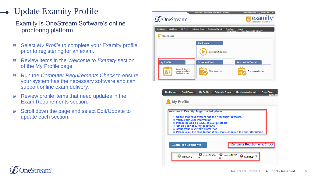## Update Examity Profile

Examity is OneStream Software's online proctoring platform

- Select *My Profile* to complete your Examity profile  $\varnothing$ prior to registering for an exam.
- Review items in the *Welcome to Examity* section of the My Profile page.
- Run the *Computer Requirements Check* to ensure  $\varnothing$ your system has the necessary software and can support online exam delivery.
- Review profile items that need updates in the Exam Requirements section.
- Scroll down the page and select Edit/Update to  $\varnothing$ update each section.

|                                                              | Welcome: Certification OneStream [ Student ]                          | -Select Time Zone --: 05/24/2021 11:47 PM                    |
|--------------------------------------------------------------|-----------------------------------------------------------------------|--------------------------------------------------------------|
| OneStream <sup>®</sup>                                       |                                                                       | a examity <sup>®</sup><br>BETTER TEST INTEGI                 |
| <b>Dashboard</b><br><b>Start Exam</b><br><b>My Profile</b>   | <b>Schedule Exam</b><br><b>Reschedule/Cancel</b><br><b>Exam Tools</b> | Logout<br><b>IFmail Support I</b> Phone Support: 855-EXAMITY |
| Dashboard                                                    |                                                                       |                                                              |
|                                                              | <b>Start Exam</b><br>Begin scheduled exam.                            |                                                              |
| <b>My Profile</b>                                            | <b>Schedule Exam</b>                                                  | Reschedule/Cancel                                            |
| Upload ID. Enter<br>security questions.<br>Confirm time zone | Make appointment.                                                     | Change appointment.                                          |



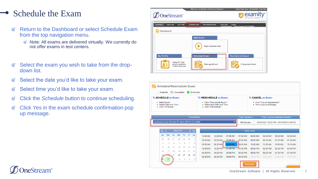## Schedule the Exam

- Return to the Dashboard or select Schedule Exam  $\mathcal{Q}'$ from the top navigation menu.
	- $\mathcal O$  Note: All exams are delivered virtually. We currently do not offer exams in test centers.
- Select the exam you wish to take from the drop- $\varnothing$ down list.
- Select the date you'd like to take your exam.  $\varnothing$
- Select time you'd like to take your exam.  $\varnothing$
- Click the *Schedule* button to continue scheduling.  $\varnothing$
- Click *Yes* in the exam schedule confirmation pop  $\varnothing$ up message.

| <b>D</b> OneStream <sup>®</sup> |                   |                                                               |                      | Welcome: Certification OneStream [ Student ] |                   | -Select Time Zone --: 05/24/2021 11:47 PM<br><b>J</b> examity®<br>Ä<br>BETTER TEST INTEGRI |
|---------------------------------|-------------------|---------------------------------------------------------------|----------------------|----------------------------------------------|-------------------|--------------------------------------------------------------------------------------------|
| <b>Dashboard</b>                | <b>Start Exam</b> | My Profile                                                    | <b>Schedule Exam</b> | Reschedule/Cancel                            | <b>Exam Tools</b> | Logout<br>IEmail Support I Phone Support: 855-EXAMITY                                      |
|                                 | Dashboard         |                                                               |                      |                                              |                   |                                                                                            |
|                                 |                   |                                                               | <b>Start Exam</b>    | Begin scheduled exam.                        |                   |                                                                                            |
| <b>My Profile</b>               |                   |                                                               |                      | <b>Schedule Exam</b>                         |                   | Reschedule/Cancel                                                                          |
|                                 |                   | Upload ID. Enter<br>security questions.<br>Confirm time zone. | m                    | Make appointment.                            |                   | Change appointment.<br>₩                                                                   |

| <b>To SCHEDULE an Exam:</b><br>To RESCHEDULE an Exam:<br>· Select Exam<br>· Click "Reschedule Exam "<br>Select Date and Time.<br>• Select new Date and Time.<br>· Click "Schedule."<br>· Click "Reschedule" |    |    |          |    |     |                             | <b>To CANCEL an Exam:</b><br>· Click "Cancel Appointment."<br>• Yes in pop-up message. |                      |                      |                      |                      |                      |                               |                      |
|-------------------------------------------------------------------------------------------------------------------------------------------------------------------------------------------------------------|----|----|----------|----|-----|-----------------------------|----------------------------------------------------------------------------------------|----------------------|----------------------|----------------------|----------------------|----------------------|-------------------------------|----------------------|
|                                                                                                                                                                                                             |    |    |          |    |     | <b>Exam Name</b>            |                                                                                        |                      |                      | <b>Exam Duration</b> |                      |                      | Exam can be scheduled between |                      |
| OneStream Lead Architect R1 Exam (BETA) [OS-200B]<br>04/02/2021 10:00 PM - 05/31/2021 9:59 PM<br>480 Minutes                                                                                                |    |    |          |    |     |                             |                                                                                        |                      |                      |                      |                      |                      |                               |                      |
|                                                                                                                                                                                                             |    |    |          |    |     |                             |                                                                                        |                      |                      |                      |                      |                      |                               |                      |
|                                                                                                                                                                                                             |    |    |          |    |     |                             |                                                                                        |                      |                      |                      |                      |                      |                               |                      |
| $\left\langle 4 \right\rangle$                                                                                                                                                                              |    |    | May 2021 |    |     | $\rightarrow$ $\rightarrow$ |                                                                                        |                      |                      |                      | <b>Select Time</b>   |                      |                               |                      |
| Su.                                                                                                                                                                                                         | Mo | Tu | We       | Th | Fr. | Sa                          | 12:00 AM                                                                               | 12:30 AM             | 01:00 AM             | 01:30 AM             | 02:00 AM             | 02:30 AM             | 03:00 AM                      |                      |
| 25                                                                                                                                                                                                          | 26 | 27 | 28       | 29 | 30  | 1                           | 04:00 AM                                                                               | 04:30 AM             | 05:00 AM             | 05:30 AM             | 06:00 AM             | 06:30 AM             | 07:00 AM                      | 03:30 AM<br>07:30 AM |
| 2                                                                                                                                                                                                           | 3  | 4  | 5        | 6  | 7   | 8                           | 08:00 AM                                                                               | 08:30 AM             | 09:00 AM             | <b>D9:30 AM</b>      | 10:00 AM             | 10:30 AM             | 11:00 AM                      | 11:30 AM             |
| 9                                                                                                                                                                                                           | 10 | 11 | 12       | 13 | 14  | 15                          | 12:00 PM                                                                               | 12:30 PM             | $01:00$ PM           | 01:30 PM             | 02:00 PM             | 02:30 PM             | 03:00 PM                      | 03:30 PM             |
| 16                                                                                                                                                                                                          | 17 | 18 | 19       | 20 | 21  | 22                          |                                                                                        |                      |                      |                      |                      |                      |                               | 07:30 PM             |
|                                                                                                                                                                                                             |    | 25 | 26       | 27 | 28  | 29                          | 04:00 PM<br>08:00 PM                                                                   | 04:30 PM<br>08:30 PM | 05:00 PM<br>09:00 PM | 05:30 PM<br>09:30 PM | 06:00 PM<br>10:00 PM | 06:30 PM<br>10:30 PM | 07:00 PM<br>11:00 PM          | 11:30 PM             |

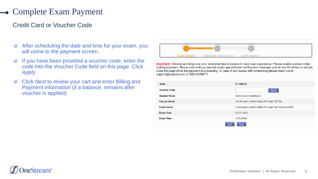## Complete Exam Payment

### Credit Card or Voucher Code

- After scheduling the date and time for your exam, you  $\varnothing$ will come to the payment screen.
- If you have been provided a voucher code, enter the  $\varnothing$ code into the Voucher Code field on this page. Click *Apply*.
- Click *Next* to review your cart and enter Billing and  $\varnothing$ Payment information (if a balance, remains after voucher is applied)



Important: Chrome and Edge are only recommended browsers for best user experience. Please enable cookies while making payment. Please wait until you see the exam appointment confirmation message and do not hit refresh or reload, close the page while the payment is processing. In case of any issues with scheduling please reach out to support@examity.com or 855-EXAMITY.

| Total:              | \$1000.00                                         |
|---------------------|---------------------------------------------------|
| <b>Voucher Code</b> | <b>Apply</b>                                      |
| <b>Student Name</b> | <b>Certification OneStream</b>                    |
| <b>Course Name</b>  | OneStream Lead Architect R1 Exam (BETA)           |
| <b>Exam Name</b>    | OneStream Lead Architect R1 Exam (BETA) [OS-200B] |
| <b>Exam Date</b>    | 05-31-2021                                        |
| <b>Exam Time</b>    | 5:00:00PM                                         |
| <b>Back</b>         | <b>Next</b>                                       |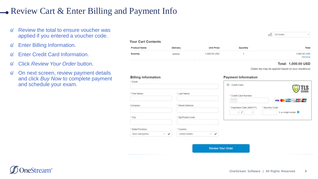### **-** Review Cart & Enter Billing and Payment Info

- Review the total to ensure voucher was  $\varnothing$ applied if you entered a voucher code.
- Enter Billing Information.  $\varnothing$
- Enter Credit Card Information.  $\varnothing$
- Click *Review Your Order* button.  $\varnothing$
- On next screen, review payment details  $\varnothing$ and click *Buy Now* to complete payment and schedule your exam.

|                     | <b>Your Cart Contents</b> |                   |          |                        |  |  |  |  |
|---------------------|---------------------------|-------------------|----------|------------------------|--|--|--|--|
| <b>Product Name</b> | Delivery                  | <b>Unit Price</b> | Quantity | <b>Total</b>           |  |  |  |  |
| Examity             | electronic                | 1,000.00 USD      |          | 1,000.00 USD<br>Remove |  |  |  |  |

#### Total: 1,000,00 USD

 $\mathbf{v}$ 

(Sales tax may be applied based on your residence)

<sub>■</sub><sup>■</sup> US Dollar

| <b>Billing Information</b>              |                                              | <b>Payment Information</b>                      |                                                       |
|-----------------------------------------|----------------------------------------------|-------------------------------------------------|-------------------------------------------------------|
| * Email:                                |                                              | Credit Card<br>◉                                |                                                       |
| * First Name:                           | * Last Name:                                 | * Credit Card Number:                           | <b>TLS</b><br>SECURE<br>VISA <b>CO</b> SALES SAN PLAN |
| Company:                                | * Street Address:                            | * Expiration Date (MM/YY):<br>$\tau$ .<br>$\pi$ | * Security Code:<br>3- or 4-digit number @            |
| $^*$ City:                              | * Zip/Postal Code:                           |                                                 |                                                       |
| State/Province:                         | * Country:                                   |                                                 |                                                       |
| New Hampshire<br>$\checkmark$<br>$\sim$ | <b>United States</b><br>$\ddot{\phantom{1}}$ |                                                 |                                                       |
|                                         |                                              | <b>Review Your Order</b>                        |                                                       |

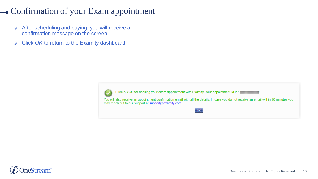## <span id="page-9-0"></span>• Confirmation of your Exam appointment

- $\varnothing$ After scheduling and paying, you will receive a confirmation message on the screen.
- Click *OK* to return to the Examity dashboard $\varnothing$



THANK YOU for booking your exam appointment with Examity. Your appointment Id is: [ 11 12 12 13 14

You will also receive an appointment confirmation email with all the details. In case you do not receive an email within 30 minutes you may reach out to our support at support@examity.com

 $\overline{OK}$ 

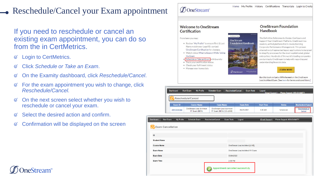## Reschedule/Cancel your Exam appointment

If you need to reschedule or cancel an existing exam appointment, you can do so from the in CertMetrics.

- Login to CertMetrics.  $\varnothing$
- Click *Schedule or Take an Exam*.  $\mathcal{Q}'$
- On the Examity dashboard, click *Reschedule/Cancel*.  $\varnothing$
- For the exam appointment you wish to change, click  $\varnothing$ *Reschedule/Cancel*.
- On the next screen select whether you wish to  $\varnothing$ reschedule or cancel your exam.
- Select the desired action and confirm.
- Confirmation will be displayed on the screen $\varnothing$

#### $\mathcal{D}$ OneStream"

#### **Welcome to OneStream** Certification

From here you may:



- Schedule or Take an Exam with Examity
- · Track your certification status
- Check your fulfillment status
- Manage your transcripts

**OneStream Foundation** 

Home My Profile History Certifications Transcripts Login to Credly

Handbook

The Definitive Reference to Design, Configure and Support Your OneStream Platform. OneStream is a modern, unified platform that is revolutionizing Corporate Performance Management. This proven alternative to fragmented legacy applications is designed to simplify processes for the most sophisticated, global enterprises. Hundreds of the world's leading companies are turning to OneStream to help with reporting and understanding financial data.



Buy this book and get a 50% discount on the OneStream Lead Architect Exam. [See here for terms and conditions.]

|                   | <b>Dashboard</b>  | <b>Start Exam</b><br><b>My Profile</b>            | <b>Schedule Exam</b><br>Reschedule/Cancel            | <b>Exam Tools</b> | Logout<br><b>IFmail Support L</b> | <b>Phone Support: 855-EXAMITY</b> |                          |  |  |  |
|-------------------|-------------------|---------------------------------------------------|------------------------------------------------------|-------------------|-----------------------------------|-----------------------------------|--------------------------|--|--|--|
|                   | Reschedule/Cancel |                                                   |                                                      |                   |                                   |                                   |                          |  |  |  |
|                   | Exam ID           | <b>Course Name</b>                                | <b>Exam Name</b>                                     | <b>Exam Date</b>  | <b>Start Time</b>                 | <b>Status</b>                     | <b>Reschedule/Cancel</b> |  |  |  |
|                   | 30910000344       | <b>OneStream Lead Architect</b><br>R1 Exam (BETA) | OneStream Lead Architect<br>R1 Exam (BETA) [OS-200B] | 06/25/2021        | 6:30 AM                           | Scheduled                         | Reschedule or<br>Cancel  |  |  |  |
|                   |                   |                                                   |                                                      |                   |                                   |                                   |                          |  |  |  |
| <b>Start Exam</b> | <b>My Profile</b> | <b>Schedule Exam</b>                              | Reschedule/Cancel<br><b>Exam Tools</b>               | Logout            | <b>Email Support</b>              | Phone Support: 855-EXAMITY        |                          |  |  |  |

**OneStream** 

**Foundation Handbook** 

| <b>Dashbuaru</b><br><b>JUST LAGIT</b><br><b>I'VI TIOTIC SCREAGE EXAMIT RESORTSURE CARE</b> | <b>LAGIII IUUIS</b><br>Luyuu        | <b>ETHER Support   FINITE Support: 000-CANWILLE</b> |
|--------------------------------------------------------------------------------------------|-------------------------------------|-----------------------------------------------------|
| $\frac{10}{100}$ Exam Cancellation                                                         |                                     |                                                     |
| ID                                                                                         |                                     |                                                     |
| <b>Student Name</b>                                                                        |                                     |                                                     |
| <b>Course Name</b>                                                                         | OneStream Lead Architect [LIVE]     |                                                     |
| <b>Exam Name</b>                                                                           | OneStream Lead Architect R1 Exam    |                                                     |
| <b>Exam Date</b>                                                                           | 03/04/2022                          |                                                     |
| <b>Exam Time</b>                                                                           | 2:30 PM                             |                                                     |
|                                                                                            | Appointment cancelled successfully. |                                                     |